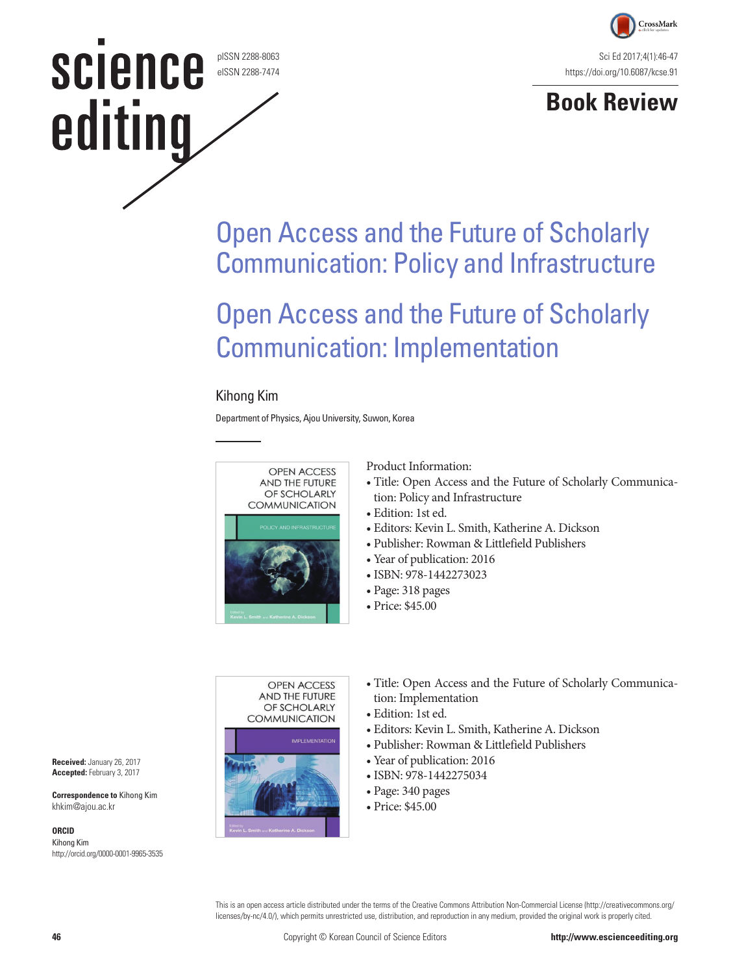pISSN 2288-8063 eISSN 2288-7474

**science** 

editing



### **Book Review**

## Open Access and the Future of Scholarly Communication: Policy and Infrastructure

## Open Access and the Future of Scholarly Communication: Implementation

#### Kihong Kim

Department of Physics, Ajou University, Suwon, Korea



Product Information:

- Title: Open Access and the Future of Scholarly Communication: Policy and Infrastructure
- Edition: 1st ed.
- Editors: Kevin L. Smith, Katherine A. Dickson
- Publisher: Rowman & Littlefield Publishers
- Year of publication: 2016
- ISBN: 978-1442273023
- Page: 318 pages
- Price: \$45.00



- Title: Open Access and the Future of Scholarly Communication: Implementation
- Edition: 1st ed.
- Editors: Kevin L. Smith, Katherine A. Dickson
- Publisher: Rowman & Littlefield Publishers
- Year of publication: 2016
- ISBN: 978-1442275034
- Page: 340 pages
- Price: \$45.00

This is an open access article distributed under the terms of the Creative Commons Attribution Non-Commercial License (http://creativecommons.org/ licenses/by-nc/4.0/), which permits unrestricted use, distribution, and reproduction in any medium, provided the original work is properly cited.



**Correspondence to** Kihong Kim khkim@ajou.ac.kr

#### **ORCID**

Kihong Kim http://orcid.org/0000-0001-9965-3535